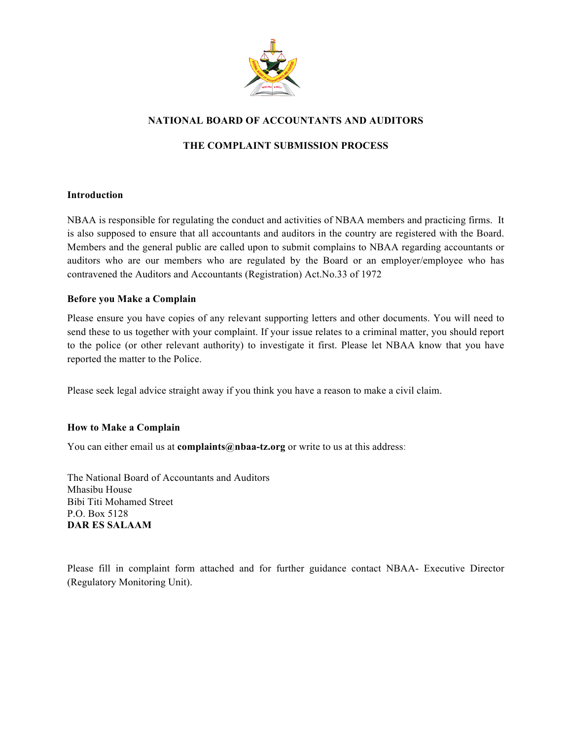

### **NATIONAL BOARD OF ACCOUNTANTS AND AUDITORS**

### **THE COMPLAINT SUBMISSION PROCESS**

#### **Introduction**

NBAA is responsible for regulating the conduct and activities of NBAA members and practicing firms. It is also supposed to ensure that all accountants and auditors in the country are registered with the Board. Members and the general public are called upon to submit complains to NBAA regarding accountants or auditors who are our members who are regulated by the Board or an employer/employee who has contravened the Auditors and Accountants (Registration) Act.No.33 of 1972

#### **Before you Make a Complain**

Please ensure you have copies of any relevant supporting letters and other documents. You will need to send these to us together with your complaint. If your issue relates to a criminal matter, you should report to the police (or other relevant authority) to investigate it first. Please let NBAA know that you have reported the matter to the Police.

Please seek legal advice straight away if you think you have a reason to make a civil claim.

#### **How to Make a Complain**

You can either email us at **complaints@nbaa-tz.org** or write to us at this address:

The National Board of Accountants and Auditors Mhasibu House Bibi Titi Mohamed Street P.O. Box 5128 **DAR ES SALAAM**

Please fill in complaint form attached and for further guidance contact NBAA- Executive Director (Regulatory Monitoring Unit).